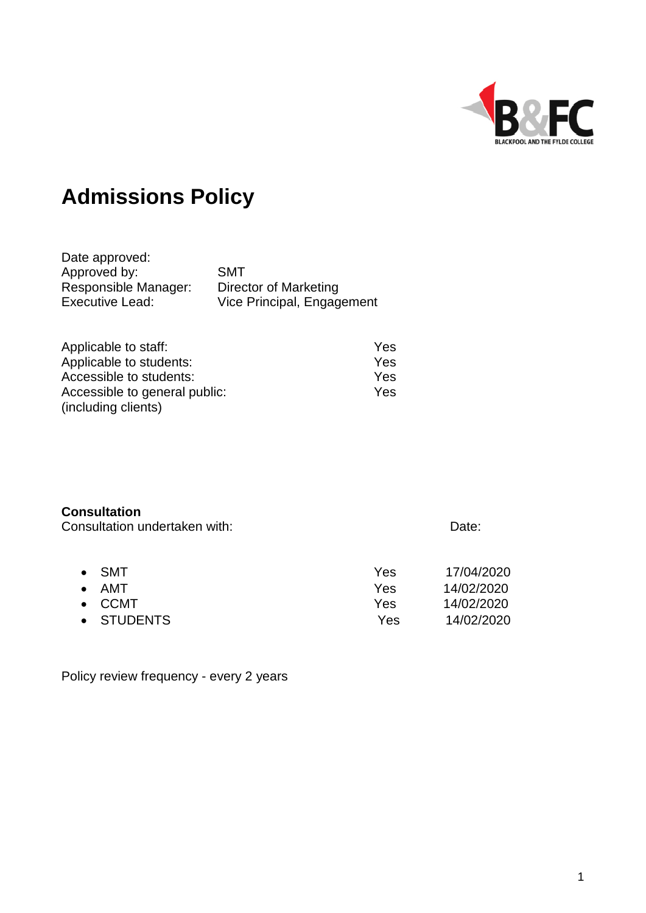

# **Admissions Policy**

| Date approved:       |                            |
|----------------------|----------------------------|
| Approved by:         | <b>SMT</b>                 |
| Responsible Manager: | Director of Marketing      |
| Executive Lead:      | Vice Principal, Engagement |

| Applicable to staff:          | Yes.       |
|-------------------------------|------------|
| Applicable to students:       | <b>Yes</b> |
| Accessible to students:       | <b>Yes</b> |
| Accessible to general public: | <b>Yes</b> |
| (including clients)           |            |

#### **Consultation**

Consultation undertaken with: Date: Date: Date:

• SMT Yes 17/04/2020 • Yes 14/02/2020<br>• Yes 14/02/2020 • CCMT Yes14/02/2020 • STUDENTS Yes 14

Policy review frequency - every 2 years

| 4/02/2020 |  |  |
|-----------|--|--|
|           |  |  |
|           |  |  |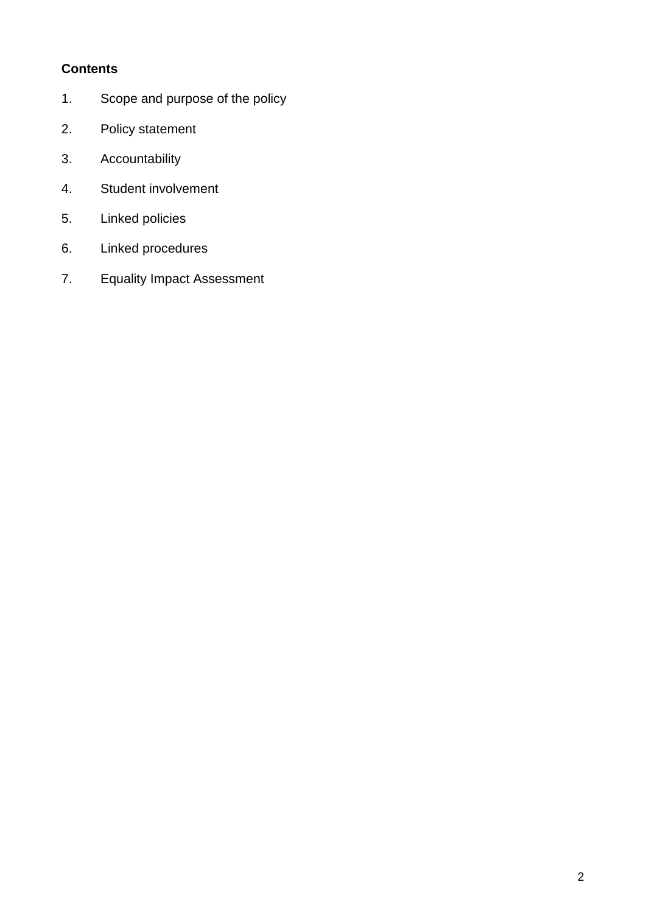### **Contents**

- 1. Scope and purpose of the policy
- 2. Policy statement
- 3. Accountability
- 4. Student involvement
- 5. Linked policies
- 6. Linked procedures
- 7. Equality Impact Assessment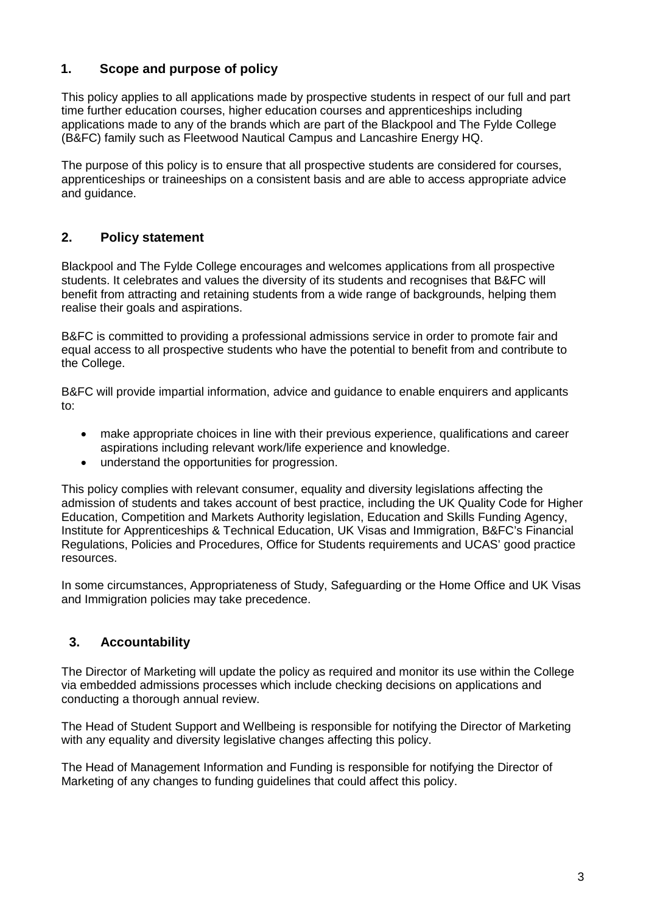#### **1. Scope and purpose of policy**

This policy applies to all applications made by prospective students in respect of our full and part time further education courses, higher education courses and apprenticeships including applications made to any of the brands which are part of the Blackpool and The Fylde College (B&FC) family such as Fleetwood Nautical Campus and Lancashire Energy HQ.

The purpose of this policy is to ensure that all prospective students are considered for courses, apprenticeships or traineeships on a consistent basis and are able to access appropriate advice and guidance.

#### **2. Policy statement**

Blackpool and The Fylde College encourages and welcomes applications from all prospective students. It celebrates and values the diversity of its students and recognises that B&FC will benefit from attracting and retaining students from a wide range of backgrounds, helping them realise their goals and aspirations.

B&FC is committed to providing a professional admissions service in order to promote fair and equal access to all prospective students who have the potential to benefit from and contribute to the College.

B&FC will provide impartial information, advice and guidance to enable enquirers and applicants to:

- make appropriate choices in line with their previous experience, qualifications and career aspirations including relevant work/life experience and knowledge.
- understand the opportunities for progression.

This policy complies with relevant consumer, equality and diversity legislations affecting the admission of students and takes account of best practice, including the UK Quality Code for Higher Education, Competition and Markets Authority legislation, Education and Skills Funding Agency, Institute for Apprenticeships & Technical Education, UK Visas and Immigration, B&FC's Financial Regulations, Policies and Procedures, Office for Students requirements and UCAS' good practice resources.

In some circumstances, Appropriateness of Study, Safeguarding or the Home Office and UK Visas and Immigration policies may take precedence.

#### **3. Accountability**

The Director of Marketing will update the policy as required and monitor its use within the College via embedded admissions processes which include checking decisions on applications and conducting a thorough annual review.

The Head of Student Support and Wellbeing is responsible for notifying the Director of Marketing with any equality and diversity legislative changes affecting this policy.

The Head of Management Information and Funding is responsible for notifying the Director of Marketing of any changes to funding guidelines that could affect this policy.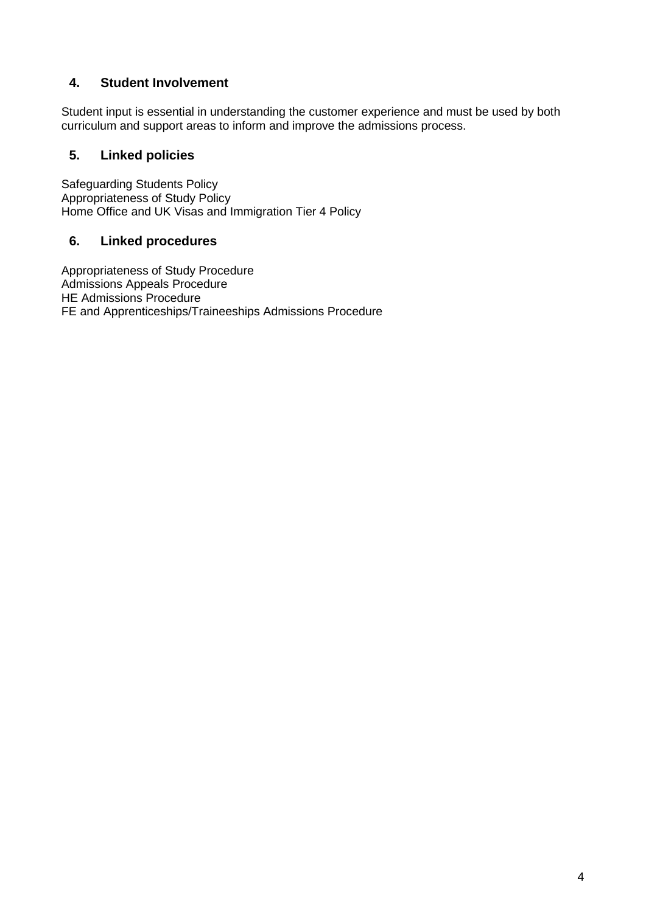#### **4. Student Involvement**

Student input is essential in understanding the customer experience and must be used by both curriculum and support areas to inform and improve the admissions process.

#### **5. Linked policies**

Safeguarding Students Policy Appropriateness of Study Policy Home Office and UK Visas and Immigration Tier 4 Policy

#### **6. Linked procedures**

Appropriateness of Study Procedure Admissions Appeals Procedure HE Admissions Procedure FE and Apprenticeships/Traineeships Admissions Procedure